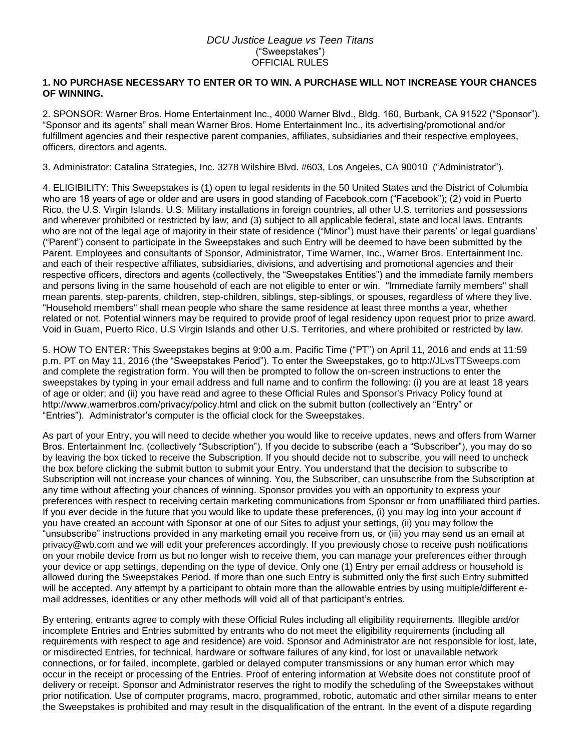## *DCU Justice League vs Teen Titans* ("Sweepstakes") OFFICIAL RULES

## **1. NO PURCHASE NECESSARY TO ENTER OR TO WIN. A PURCHASE WILL NOT INCREASE YOUR CHANCES OF WINNING.**

2. SPONSOR: Warner Bros. Home Entertainment Inc., 4000 Warner Blvd., Bldg. 160, Burbank, CA 91522 ("Sponsor"). "Sponsor and its agents" shall mean Warner Bros. Home Entertainment Inc., its advertising/promotional and/or fulfillment agencies and their respective parent companies, affiliates, subsidiaries and their respective employees, officers, directors and agents.

3. Administrator: Catalina Strategies, Inc. 3278 Wilshire Blvd. #603, Los Angeles, CA 90010 ("Administrator").

4. ELIGIBILITY: This Sweepstakes is (1) open to legal residents in the 50 United States and the District of Columbia who are 18 years of age or older and are users in good standing of Facebook.com ("Facebook"); (2) void in Puerto Rico, the U.S. Virgin Islands, U.S. Military installations in foreign countries, all other U.S. territories and possessions and wherever prohibited or restricted by law; and (3) subject to all applicable federal, state and local laws. Entrants who are not of the legal age of majority in their state of residence ("Minor") must have their parents' or legal guardians' ("Parent") consent to participate in the Sweepstakes and such Entry will be deemed to have been submitted by the Parent. Employees and consultants of Sponsor, Administrator, Time Warner, Inc., Warner Bros. Entertainment Inc. and each of their respective affiliates, subsidiaries, divisions, and advertising and promotional agencies and their respective officers, directors and agents (collectively, the "Sweepstakes Entities") and the immediate family members and persons living in the same household of each are not eligible to enter or win. "Immediate family members" shall mean parents, step-parents, children, step-children, siblings, step-siblings, or spouses, regardless of where they live. "Household members" shall mean people who share the same residence at least three months a year, whether related or not. Potential winners may be required to provide proof of legal residency upon request prior to prize award. Void in Guam, Puerto Rico, U.S Virgin Islands and other U.S. Territories, and where prohibited or restricted by law.

5. HOW TO ENTER: This Sweepstakes begins at 9:00 a.m. Pacific Time ("PT") on April 11, 2016 and ends at 11:59 p.m. PT on May 11, 2016 (the "Sweepstakes Period"). To enter the Sweepstakes, go to http://JLvsTTSweeps.com and complete the registration form. You will then be prompted to follow the on-screen instructions to enter the sweepstakes by typing in your email address and full name and to confirm the following: (i) you are at least 18 years of age or older; and (ii) you have read and agree to these Official Rules and Sponsor's Privacy Policy found at http://www.warnerbros.com/privacy/policy.html and click on the submit button (collectively an "Entry" or "Entries"). Administrator's computer is the official clock for the Sweepstakes.

As part of your Entry, you will need to decide whether you would like to receive updates, news and offers from Warner Bros. Entertainment Inc. (collectively "Subscription"). If you decide to subscribe (each a "Subscriber"), you may do so by leaving the box ticked to receive the Subscription. If you should decide not to subscribe, you will need to uncheck the box before clicking the submit button to submit your Entry. You understand that the decision to subscribe to Subscription will not increase your chances of winning. You, the Subscriber, can unsubscribe from the Subscription at any time without affecting your chances of winning. Sponsor provides you with an opportunity to express your preferences with respect to receiving certain marketing communications from Sponsor or from unaffiliated third parties. If you ever decide in the future that you would like to update these preferences, (i) you may log into your account if you have created an account with Sponsor at one of our Sites to adjust your settings, (ii) you may follow the "unsubscribe" instructions provided in any marketing email you receive from us, or (iii) you may send us an email at privacy@wb.com and we will edit your preferences accordingly. If you previously chose to receive push notifications on your mobile device from us but no longer wish to receive them, you can manage your preferences either through your device or app settings, depending on the type of device. Only one (1) Entry per email address or household is allowed during the Sweepstakes Period. If more than one such Entry is submitted only the first such Entry submitted will be accepted. Any attempt by a participant to obtain more than the allowable entries by using multiple/different email addresses, identities or any other methods will void all of that participant's entries.

By entering, entrants agree to comply with these Official Rules including all eligibility requirements. Illegible and/or incomplete Entries and Entries submitted by entrants who do not meet the eligibility requirements (including all requirements with respect to age and residence) are void. Sponsor and Administrator are not responsible for lost, late, or misdirected Entries, for technical, hardware or software failures of any kind, for lost or unavailable network connections, or for failed, incomplete, garbled or delayed computer transmissions or any human error which may occur in the receipt or processing of the Entries. Proof of entering information at Website does not constitute proof of delivery or receipt. Sponsor and Administrator reserves the right to modify the scheduling of the Sweepstakes without prior notification. Use of computer programs, macro, programmed, robotic, automatic and other similar means to enter the Sweepstakes is prohibited and may result in the disqualification of the entrant. In the event of a dispute regarding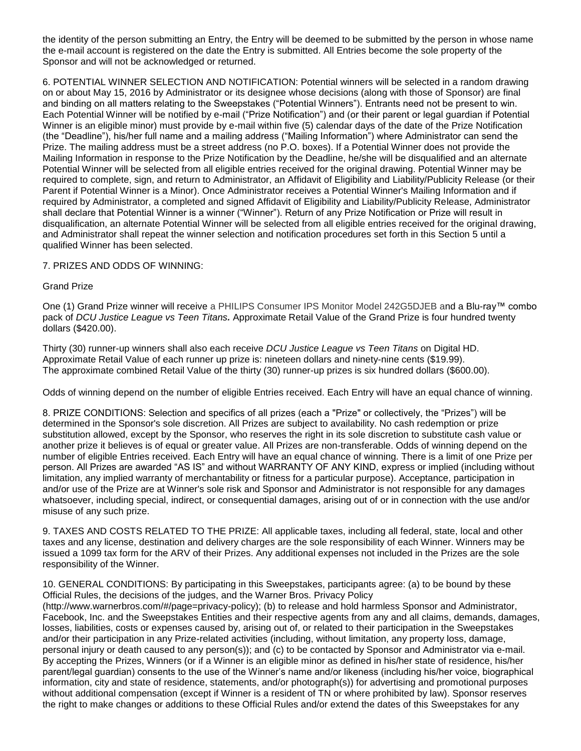the identity of the person submitting an Entry, the Entry will be deemed to be submitted by the person in whose name the e-mail account is registered on the date the Entry is submitted. All Entries become the sole property of the Sponsor and will not be acknowledged or returned.

6. POTENTIAL WINNER SELECTION AND NOTIFICATION: Potential winners will be selected in a random drawing on or about May 15, 2016 by Administrator or its designee whose decisions (along with those of Sponsor) are final and binding on all matters relating to the Sweepstakes ("Potential Winners"). Entrants need not be present to win. Each Potential Winner will be notified by e-mail ("Prize Notification") and (or their parent or legal guardian if Potential Winner is an eligible minor) must provide by e-mail within five (5) calendar days of the date of the Prize Notification (the "Deadline"), his/her full name and a mailing address ("Mailing Information") where Administrator can send the Prize. The mailing address must be a street address (no P.O. boxes). If a Potential Winner does not provide the Mailing Information in response to the Prize Notification by the Deadline, he/she will be disqualified and an alternate Potential Winner will be selected from all eligible entries received for the original drawing. Potential Winner may be required to complete, sign, and return to Administrator, an Affidavit of Eligibility and Liability/Publicity Release (or their Parent if Potential Winner is a Minor). Once Administrator receives a Potential Winner's Mailing Information and if required by Administrator, a completed and signed Affidavit of Eligibility and Liability/Publicity Release, Administrator shall declare that Potential Winner is a winner ("Winner"). Return of any Prize Notification or Prize will result in disqualification, an alternate Potential Winner will be selected from all eligible entries received for the original drawing, and Administrator shall repeat the winner selection and notification procedures set forth in this Section 5 until a qualified Winner has been selected.

7. PRIZES AND ODDS OF WINNING:

## Grand Prize

One (1) Grand Prize winner will receive a PHILIPS Consumer IPS Monitor Model 242G5DJEB and a Blu-ray™ combo pack of *DCU Justice League vs Teen Titans.* Approximate Retail Value of the Grand Prize is four hundred twenty dollars (\$420.00).

Thirty (30) runner-up winners shall also each receive *DCU Justice League vs Teen Titans* on Digital HD. Approximate Retail Value of each runner up prize is: nineteen dollars and ninety-nine cents (\$19.99). The approximate combined Retail Value of the thirty (30) runner-up prizes is six hundred dollars (\$600.00).

Odds of winning depend on the number of eligible Entries received. Each Entry will have an equal chance of winning.

8. PRIZE CONDITIONS: Selection and specifics of all prizes (each a "Prize" or collectively, the "Prizes") will be determined in the Sponsor's sole discretion. All Prizes are subject to availability. No cash redemption or prize substitution allowed, except by the Sponsor, who reserves the right in its sole discretion to substitute cash value or another prize it believes is of equal or greater value. All Prizes are non-transferable. Odds of winning depend on the number of eligible Entries received. Each Entry will have an equal chance of winning. There is a limit of one Prize per person. All Prizes are awarded "AS IS" and without WARRANTY OF ANY KIND, express or implied (including without limitation, any implied warranty of merchantability or fitness for a particular purpose). Acceptance, participation in and/or use of the Prize are at Winner's sole risk and Sponsor and Administrator is not responsible for any damages whatsoever, including special, indirect, or consequential damages, arising out of or in connection with the use and/or misuse of any such prize.

9. TAXES AND COSTS RELATED TO THE PRIZE: All applicable taxes, including all federal, state, local and other taxes and any license, destination and delivery charges are the sole responsibility of each Winner. Winners may be issued a 1099 tax form for the ARV of their Prizes. Any additional expenses not included in the Prizes are the sole responsibility of the Winner.

10. GENERAL CONDITIONS: By participating in this Sweepstakes, participants agree: (a) to be bound by these Official Rules, the decisions of the judges, and the Warner Bros. Privacy Policy (http://www.warnerbros.com/#/page=privacy-policy); (b) to release and hold harmless Sponsor and Administrator, Facebook, Inc. and the Sweepstakes Entities and their respective agents from any and all claims, demands, damages, losses, liabilities, costs or expenses caused by, arising out of, or related to their participation in the Sweepstakes and/or their participation in any Prize-related activities (including, without limitation, any property loss, damage, personal injury or death caused to any person(s)); and (c) to be contacted by Sponsor and Administrator via e-mail. By accepting the Prizes, Winners (or if a Winner is an eligible minor as defined in his/her state of residence, his/her parent/legal guardian) consents to the use of the Winner's name and/or likeness (including his/her voice, biographical information, city and state of residence, statements, and/or photograph(s)) for advertising and promotional purposes without additional compensation (except if Winner is a resident of TN or where prohibited by law). Sponsor reserves the right to make changes or additions to these Official Rules and/or extend the dates of this Sweepstakes for any